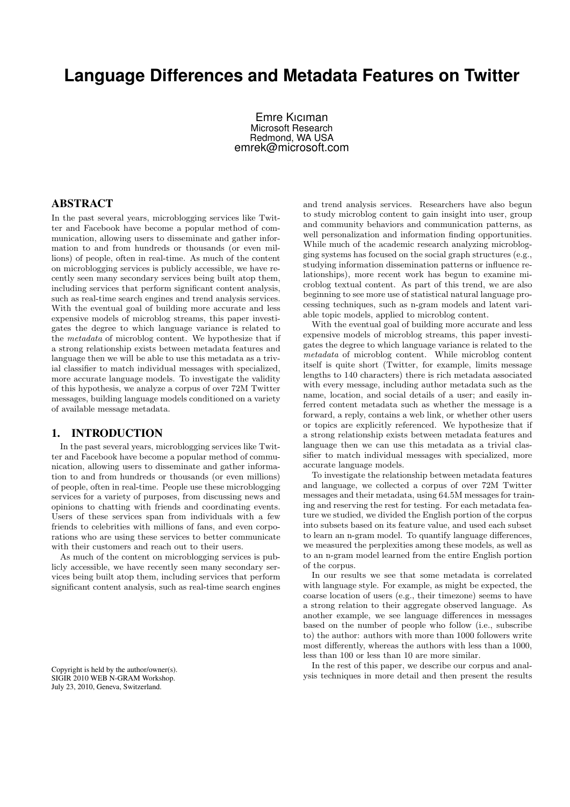# **Language Differences and Metadata Features on Twitter**

Emre Kıcıman Microsoft Research Redmond, WA USA emrek@microsoft.com

## ABSTRACT

In the past several years, microblogging services like Twitter and Facebook have become a popular method of communication, allowing users to disseminate and gather information to and from hundreds or thousands (or even millions) of people, often in real-time. As much of the content on microblogging services is publicly accessible, we have recently seen many secondary services being built atop them, including services that perform significant content analysis, such as real-time search engines and trend analysis services. With the eventual goal of building more accurate and less expensive models of microblog streams, this paper investigates the degree to which language variance is related to the metadata of microblog content. We hypothesize that if a strong relationship exists between metadata features and language then we will be able to use this metadata as a trivial classifier to match individual messages with specialized, more accurate language models. To investigate the validity of this hypothesis, we analyze a corpus of over 72M Twitter messages, building language models conditioned on a variety of available message metadata.

#### 1. INTRODUCTION

In the past several years, microblogging services like Twitter and Facebook have become a popular method of communication, allowing users to disseminate and gather information to and from hundreds or thousands (or even millions) of people, often in real-time. People use these microblogging services for a variety of purposes, from discussing news and opinions to chatting with friends and coordinating events. Users of these services span from individuals with a few friends to celebrities with millions of fans, and even corporations who are using these services to better communicate with their customers and reach out to their users.

As much of the content on microblogging services is publicly accessible, we have recently seen many secondary services being built atop them, including services that perform significant content analysis, such as real-time search engines

Copyright is held by the author/owner(s). SIGIR 2010 WEB N-GRAM Workshop. July 23, 2010, Geneva, Switzerland.

and trend analysis services. Researchers have also begun to study microblog content to gain insight into user, group and community behaviors and communication patterns, as well personalization and information finding opportunities. While much of the academic research analyzing microblogging systems has focused on the social graph structures (e.g., studying information dissemination patterns or influence relationships), more recent work has begun to examine microblog textual content. As part of this trend, we are also beginning to see more use of statistical natural language processing techniques, such as n-gram models and latent variable topic models, applied to microblog content.

With the eventual goal of building more accurate and less expensive models of microblog streams, this paper investigates the degree to which language variance is related to the metadata of microblog content. While microblog content itself is quite short (Twitter, for example, limits message lengths to 140 characters) there is rich metadata associated with every message, including author metadata such as the name, location, and social details of a user; and easily inferred content metadata such as whether the message is a forward, a reply, contains a web link, or whether other users or topics are explicitly referenced. We hypothesize that if a strong relationship exists between metadata features and language then we can use this metadata as a trivial classifier to match individual messages with specialized, more accurate language models.

To investigate the relationship between metadata features and language, we collected a corpus of over 72M Twitter messages and their metadata, using 64.5M messages for training and reserving the rest for testing. For each metadata feature we studied, we divided the English portion of the corpus into subsets based on its feature value, and used each subset to learn an n-gram model. To quantify language differences, we measured the perplexities among these models, as well as to an n-gram model learned from the entire English portion of the corpus.

In our results we see that some metadata is correlated with language style. For example, as might be expected, the coarse location of users (e.g., their timezone) seems to have a strong relation to their aggregate observed language. As another example, we see language differences in messages based on the number of people who follow (i.e., subscribe to) the author: authors with more than 1000 followers write most differently, whereas the authors with less than a 1000, less than 100 or less than 10 are more similar.

In the rest of this paper, we describe our corpus and analysis techniques in more detail and then present the results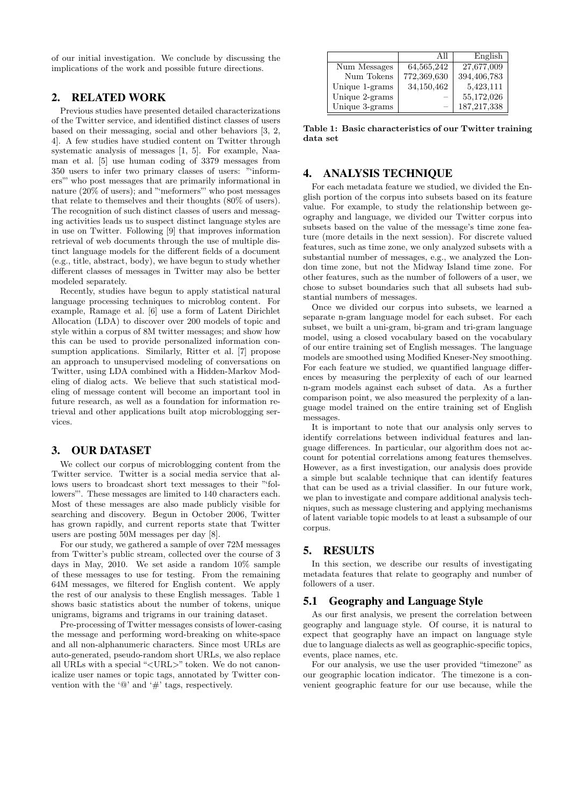of our initial investigation. We conclude by discussing the implications of the work and possible future directions.

## 2. RELATED WORK

Previous studies have presented detailed characterizations of the Twitter service, and identified distinct classes of users based on their messaging, social and other behaviors [3, 2, 4]. A few studies have studied content on Twitter through systematic analysis of messages [1, 5]. For example, Naaman et al. [5] use human coding of 3379 messages from 350 users to infer two primary classes of users: "'informers"' who post messages that are primarily informational in nature (20% of users); and "'meformers"' who post messages that relate to themselves and their thoughts (80% of users). The recognition of such distinct classes of users and messaging activities leads us to suspect distinct language styles are in use on Twitter. Following [9] that improves information retrieval of web documents through the use of multiple distinct language models for the different fields of a document (e.g., title, abstract, body), we have begun to study whether different classes of messages in Twitter may also be better modeled separately.

Recently, studies have begun to apply statistical natural language processing techniques to microblog content. For example, Ramage et al. [6] use a form of Latent Dirichlet Allocation (LDA) to discover over 200 models of topic and style within a corpus of 8M twitter messages; and show how this can be used to provide personalized information consumption applications. Similarly, Ritter et al. [7] propose an approach to unsupervised modeling of conversations on Twitter, using LDA combined with a Hidden-Markov Modeling of dialog acts. We believe that such statistical modeling of message content will become an important tool in future research, as well as a foundation for information retrieval and other applications built atop microblogging services.

## 3. OUR DATASET

We collect our corpus of microblogging content from the Twitter service. Twitter is a social media service that allows users to broadcast short text messages to their "'followers"'. These messages are limited to 140 characters each. Most of these messages are also made publicly visible for searching and discovery. Begun in October 2006, Twitter has grown rapidly, and current reports state that Twitter users are posting 50M messages per day [8].

For our study, we gathered a sample of over 72M messages from Twitter's public stream, collected over the course of 3 days in May, 2010. We set aside a random 10% sample of these messages to use for testing. From the remaining 64M messages, we filtered for English content. We apply the rest of our analysis to these English messages. Table 1 shows basic statistics about the number of tokens, unique unigrams, bigrams and trigrams in our training dataset.

Pre-processing of Twitter messages consists of lower-casing the message and performing word-breaking on white-space and all non-alphanumeric characters. Since most URLs are auto-generated, pseudo-random short URLs, we also replace all URLs with a special "<URL>" token. We do not canonicalize user names or topic tags, annotated by Twitter convention with the ' $\mathbb{Q}$ ' and ' $\#$ ' tags, respectively.

|                | All          | English       |
|----------------|--------------|---------------|
| Num Messages   | 64, 565, 242 | 27,677,009    |
| Num Tokens     | 772,369,630  | 394,406,783   |
| Unique 1-grams | 34,150,462   | 5,423,111     |
| Unique 2-grams |              | 55,172,026    |
| Unique 3-grams |              | 187, 217, 338 |

Table 1: Basic characteristics of our Twitter training data set

## 4. ANALYSIS TECHNIQUE

For each metadata feature we studied, we divided the English portion of the corpus into subsets based on its feature value. For example, to study the relationship between geography and language, we divided our Twitter corpus into subsets based on the value of the message's time zone feature (more details in the next session). For discrete valued features, such as time zone, we only analyzed subsets with a substantial number of messages, e.g., we analyzed the London time zone, but not the Midway Island time zone. For other features, such as the number of followers of a user, we chose to subset boundaries such that all subsets had substantial numbers of messages.

Once we divided our corpus into subsets, we learned a separate n-gram language model for each subset. For each subset, we built a uni-gram, bi-gram and tri-gram language model, using a closed vocabulary based on the vocabulary of our entire training set of English messages. The language models are smoothed using Modified Kneser-Ney smoothing. For each feature we studied, we quantified language differences by measuring the perplexity of each of our learned n-gram models against each subset of data. As a further comparison point, we also measured the perplexity of a language model trained on the entire training set of English messages.

It is important to note that our analysis only serves to identify correlations between individual features and language differences. In particular, our algorithm does not account for potential correlations among features themselves. However, as a first investigation, our analysis does provide a simple but scalable technique that can identify features that can be used as a trivial classifier. In our future work, we plan to investigate and compare additional analysis techniques, such as message clustering and applying mechanisms of latent variable topic models to at least a subsample of our corpus.

## 5. RESULTS

In this section, we describe our results of investigating metadata features that relate to geography and number of followers of a user.

## 5.1 Geography and Language Style

As our first analysis, we present the correlation between geography and language style. Of course, it is natural to expect that geography have an impact on language style due to language dialects as well as geographic-specific topics, events, place names, etc.

For our analysis, we use the user provided "timezone" as our geographic location indicator. The timezone is a convenient geographic feature for our use because, while the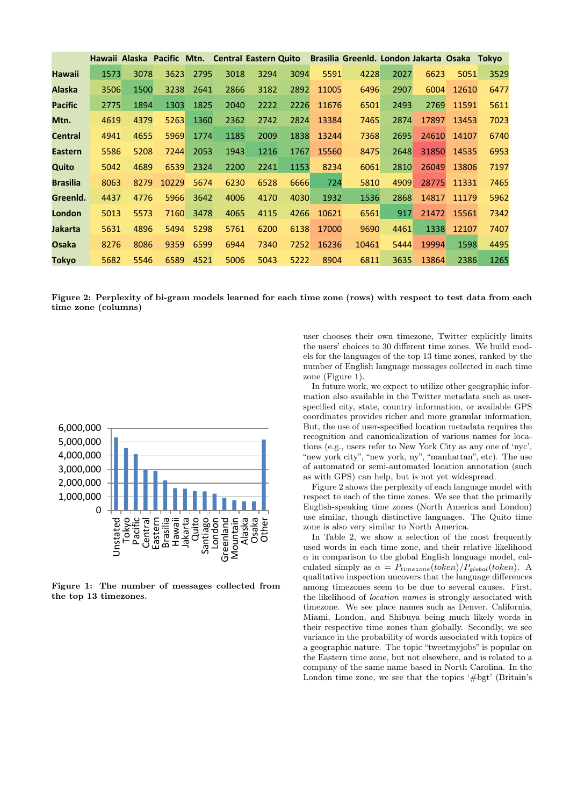|                 |      |      |       |      |      | Hawaii Alaska Pacific Mtn. Central Eastern Quito |      |       | Brasilia Greenld. London Jakarta Osaka Tokyo |      |       |       |      |
|-----------------|------|------|-------|------|------|--------------------------------------------------|------|-------|----------------------------------------------|------|-------|-------|------|
| <b>Hawaii</b>   | 1573 | 3078 | 3623  | 2795 | 3018 | 3294                                             | 3094 | 5591  | 4228                                         | 2027 | 6623  | 5051  | 3529 |
| <b>Alaska</b>   | 3506 | 1500 | 3238  | 2641 | 2866 | 3182                                             | 2892 | 11005 | 6496                                         | 2907 | 6004  | 12610 | 6477 |
| <b>Pacific</b>  | 2775 | 1894 | 1303  | 1825 | 2040 | 2222                                             | 2226 | 11676 | 6501                                         | 2493 | 2769  | 11591 | 5611 |
| Mtn.            | 4619 | 4379 | 5263  | 1360 | 2362 | 2742                                             | 2824 | 13384 | 7465                                         | 2874 | 17897 | 13453 | 7023 |
| <b>Central</b>  | 4941 | 4655 | 5969  | 1774 | 1185 | 2009                                             | 1838 | 13244 | 7368                                         | 2695 | 24610 | 14107 | 6740 |
| <b>Eastern</b>  | 5586 | 5208 | 7244  | 2053 | 1943 | 1216                                             | 1767 | 15560 | 8475                                         | 2648 | 31850 | 14535 | 6953 |
| Quito           | 5042 | 4689 | 6539  | 2324 | 2200 | 2241                                             | 1153 | 8234  | 6061                                         | 2810 | 26049 | 13806 | 7197 |
| <b>Brasilia</b> | 8063 | 8279 | 10229 | 5674 | 6230 | 6528                                             | 6666 | 724   | 5810                                         | 4909 | 28775 | 11331 | 7465 |
| GreenId.        | 4437 | 4776 | 5966  | 3642 | 4006 | 4170                                             | 4030 | 1932  | 1536                                         | 2868 | 14817 | 11179 | 5962 |
| London          | 5013 | 5573 | 7160  | 3478 | 4065 | 4115                                             | 4266 | 10621 | 6561                                         | 917  | 21472 | 15561 | 7342 |
| Jakarta         | 5631 | 4896 | 5494  | 5298 | 5761 | 6200                                             | 6138 | 17000 | 9690                                         | 4461 | 1338  | 12107 | 7407 |
| <b>Osaka</b>    | 8276 | 8086 | 9359  | 6599 | 6944 | 7340                                             | 7252 | 16236 | 10461                                        | 5444 | 19994 | 1598  | 4495 |
| <b>Tokyo</b>    | 5682 | 5546 | 6589  | 4521 | 5006 | 5043                                             | 5222 | 8904  | 6811                                         | 3635 | 13864 | 2386  | 1265 |

Figure 2: Perplexity of bi-gram models learned for each time zone (rows) with respect to test data from each time zone (columns)



Figure 1: The number of messages collected from the top 13 timezones.

user chooses their own timezone, Twitter explicitly limits the users' choices to 30 different time zones. We build models for the languages of the top 13 time zones, ranked by the number of English language messages collected in each time zone (Figure 1).

In future work, we expect to utilize other geographic information also available in the Twitter metadata such as userspecified city, state, country information, or available GPS coordinates provides richer and more granular information, But, the use of user-specified location metadata requires the recognition and canonicalization of various names for locations (e.g., users refer to New York City as any one of 'nyc', "new york city", "new york, ny", "manhattan", etc). The use of automated or semi-automated location annotation (such as with GPS) can help, but is not yet widespread.

Figure 2 shows the perplexity of each language model with respect to each of the time zones. We see that the primarily English-speaking time zones (North America and London) use similar, though distinctive languages. The Quito time zone is also very similar to North America.

In Table 2, we show a selection of the most frequently used words in each time zone, and their relative likelihood  $\alpha$  in comparison to the global English language model, calculated simply as  $\alpha = P_{timezone}(token)/P_{global}(token)$ . A qualitative inspection uncovers that the language differences among timezones seem to be due to several causes. First, the likelihood of location names is strongly associated with timezone. We see place names such as Denver, California, Miami, London, and Shibuya being much likely words in their respective time zones than globally. Secondly, we see variance in the probability of words associated with topics of a geographic nature. The topic "tweetmyjobs" is popular on the Eastern time zone, but not elsewhere, and is related to a company of the same name based in North Carolina. In the London time zone, we see that the topics '#bgt' (Britain's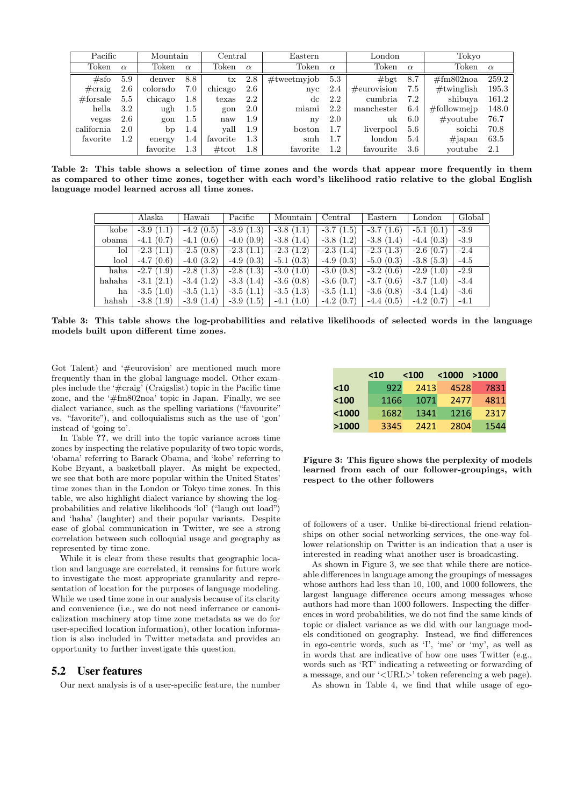| Pacific          |          | Mountain |          | $\rm Central$   |          | Eastern        |          | London          |          | Tokyo               |          |
|------------------|----------|----------|----------|-----------------|----------|----------------|----------|-----------------|----------|---------------------|----------|
| Token            | $\alpha$ | Token    | $\alpha$ | Token           | $\alpha$ | Token          | $\alpha$ | Token           | $\alpha$ | Token               | $\alpha$ |
| #sfo             | 5.9      | denver   | 8.8      | tx              | 2.8      | $#$ tweetmyjob | 5.3      | #bgt            | 8.7      | $\#\text{fm802noa}$ | 259.2    |
| $\#\text{craig}$ | 2.6      | colorado | 7.0      | chicago         | 2.6      | nyc            | 2.4      | $\#$ eurovision | 7.5      | $\#$ twinglish      | 195.3    |
| $#$ forsale      | 5.5      | chicago  | 1.8      | texas           | 2.2      | dc             | 2.2      | cumbria         | 7.2      | shibuya             | 161.2    |
| hella            | 3.2      | ugh      | 1.5      | gon             | 2.0      | miami          | 2.2      | manchester      | 6.4      | $#$ followmejp      | 148.0    |
| vegas            | $2.6\,$  | gon      | 1.5      | naw             | 1.9      | ny             | $2.0\,$  | uk              | 6.0      | $\#$ youtube        | 76.7     |
| california       | 2.0      | bp       | 1.4      | vall            | 1.9      | boston         | 1.7      | liverpool       | 5.6      | soichi              | 70.8     |
| favorite         | 1.2      | energy   | 1.4      | favorite        | $1.3\,$  | smh            | 1.7      | london          | 5.4      | $\#$ japan          | 63.5     |
|                  |          | favorite | 1.3      | $\#\text{tcot}$ | 1.8      | favorite       | 1.2      | favourite       | $3.6\,$  | youtube             | 2.1      |

Table 2: This table shows a selection of time zones and the words that appear more frequently in them as compared to other time zones, together with each word's likelihood ratio relative to the global English language model learned across all time zones.

|        | Alaska      | Hawaii      | Pacific     | Mountain    | Central     | Eastern     | London      | Global |
|--------|-------------|-------------|-------------|-------------|-------------|-------------|-------------|--------|
| kobe   | $-3.9(1.1)$ | $-4.2(0.5)$ | $-3.9(1.3)$ | $-3.8(1.1)$ | $-3.7(1.5)$ | $-3.7(1.6)$ | $-5.1(0.1)$ | $-3.9$ |
| obama  | $-4.1(0.7)$ | $-4.1(0.6)$ | $-4.0(0.9)$ | $-3.8(1.4)$ | $-3.8(1.2)$ | $-3.8(1.4)$ | $-4.4(0.3)$ | $-3.9$ |
| lol    | $-2.3(1.1)$ | $-2.5(0.8)$ | $-2.3(1.1)$ | $-2.3(1.2)$ | $-2.3(1.4)$ | $-2.3(1.3)$ | $-2.6(0.7)$ | $-2.4$ |
| lool   | $-4.7(0.6)$ | $-4.0(3.2)$ | $-4.9(0.3)$ | $-5.1(0.3)$ | $-4.9(0.3)$ | $-5.0(0.3)$ | $-3.8(5.3)$ | $-4.5$ |
| haha   | $-2.7(1.9)$ | $-2.8(1.3)$ | $-2.8(1.3)$ | $-3.0(1.0)$ | $-3.0(0.8)$ | $-3.2(0.6)$ | $-2.9(1.0)$ | $-2.9$ |
| hahaha | $-3.1(2.1)$ | $-3.4(1.2)$ | $-3.3(1.4)$ | $-3.6(0.8)$ | $-3.6(0.7)$ | $-3.7(0.6)$ | $-3.7(1.0)$ | $-3.4$ |
| ha     | $-3.5(1.0)$ | $-3.5(1.1)$ | $-3.5(1.1)$ | $-3.5(1.3)$ | $-3.5(1.1)$ | $-3.6(0.8)$ | $-3.4(1.4)$ | $-3.6$ |
| hahah  | $-3.8(1.9)$ | $-3.9(1.4)$ | $-3.9(1.5)$ | $-4.1(1.0)$ | $-4.2(0.7)$ | $-4.4(0.5)$ | $-4.2(0.7)$ | $-4.1$ |

Table 3: This table shows the log-probabilities and relative likelihoods of selected words in the language models built upon different time zones.

Got Talent) and '#eurovision' are mentioned much more frequently than in the global language model. Other examples include the '#craig' (Craigslist) topic in the Pacific time zone, and the '#fm802noa' topic in Japan. Finally, we see dialect variance, such as the spelling variations ("favourite" vs. "favorite"), and colloquialisms such as the use of 'gon' instead of 'going to'.

In Table ??, we drill into the topic variance across time zones by inspecting the relative popularity of two topic words, 'obama' referring to Barack Obama, and 'kobe' referring to Kobe Bryant, a basketball player. As might be expected, we see that both are more popular within the United States' time zones than in the London or Tokyo time zones. In this table, we also highlight dialect variance by showing the logprobabilities and relative likelihoods 'lol' ("laugh out load") and 'haha' (laughter) and their popular variants. Despite ease of global communication in Twitter, we see a strong correlation between such colloquial usage and geography as represented by time zone.

While it is clear from these results that geographic location and language are correlated, it remains for future work to investigate the most appropriate granularity and representation of location for the purposes of language modeling. While we used time zone in our analysis because of its clarity and convenience (i.e., we do not need inferrance or canonicalization machinery atop time zone metadata as we do for user-specified location information), other location information is also included in Twitter metadata and provides an opportunity to further investigate this question.

#### 5.2 User features

Our next analysis is of a user-specific feature, the number

|          | $<$ 10 | $<$ 100 $<$ | $<$ 1000 | >1000 |  |
|----------|--------|-------------|----------|-------|--|
| $10$     | 922    | 2413        | 4528     | 7831  |  |
| $<$ 100  | 1166   | 1071        | 2477     | 4811  |  |
| $<$ 1000 | 1682   | 1341        | 1216     | 2317  |  |
| >1000    | 3345   | 2421        | 2804     | 1544  |  |

Figure 3: This figure shows the perplexity of models learned from each of our follower-groupings, with respect to the other followers

of followers of a user. Unlike bi-directional friend relationships on other social networking services, the one-way follower relationship on Twitter is an indication that a user is interested in reading what another user is broadcasting.

As shown in Figure 3, we see that while there are noticeable differences in language among the groupings of messages whose authors had less than 10, 100, and 1000 followers, the largest language difference occurs among messages whose authors had more than 1000 followers. Inspecting the differences in word probabilities, we do not find the same kinds of topic or dialect variance as we did with our language models conditioned on geography. Instead, we find differences in ego-centric words, such as 'I', 'me' or 'my', as well as in words that are indicative of how one uses Twitter (e.g., words such as 'RT' indicating a retweeting or forwarding of a message, and our '<URL>' token referencing a web page).

As shown in Table 4, we find that while usage of ego-